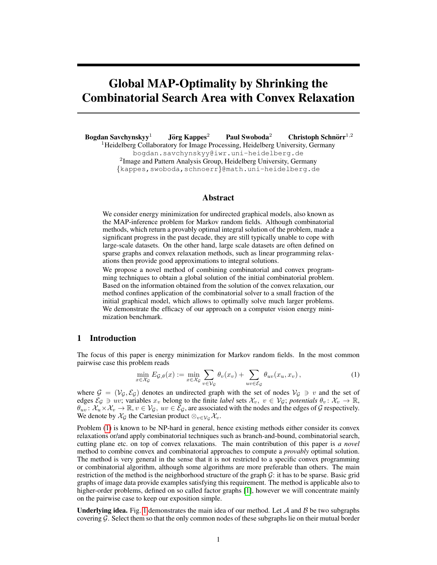# Global MAP-Optimality by Shrinking the Combinatorial Search Area with Convex Relaxation

Bogdan Savchynskyy<sup>1</sup> Jörg Kappes<sup>2</sup> <sup>2</sup> Paul Swoboda<sup>2</sup> Christoph Schnörr<sup>1,2</sup> <sup>1</sup>Heidelberg Collaboratory for Image Processing, Heidelberg University, Germany bogdan.savchynskyy@iwr.uni-heidelberg.de <sup>2</sup> Image and Pattern Analysis Group, Heidelberg University, Germany {kappes,swoboda,schnoerr}@math.uni-heidelberg.de

## Abstract

We consider energy minimization for undirected graphical models, also known as the MAP-inference problem for Markov random fields. Although combinatorial methods, which return a provably optimal integral solution of the problem, made a significant progress in the past decade, they are still typically unable to cope with large-scale datasets. On the other hand, large scale datasets are often defined on sparse graphs and convex relaxation methods, such as linear programming relaxations then provide good approximations to integral solutions.

We propose a novel method of combining combinatorial and convex programming techniques to obtain a global solution of the initial combinatorial problem. Based on the information obtained from the solution of the convex relaxation, our method confines application of the combinatorial solver to a small fraction of the initial graphical model, which allows to optimally solve much larger problems. We demonstrate the efficacy of our approach on a computer vision energy minimization benchmark.

#### 1 Introduction

The focus of this paper is energy minimization for Markov random fields. In the most common pairwise case this problem reads

$$
\min_{x \in \mathcal{X}_{\mathcal{G}}} E_{\mathcal{G},\theta}(x) := \min_{x \in \mathcal{X}_{\mathcal{G}}} \sum_{v \in \mathcal{V}_{\mathcal{G}}} \theta_v(x_v) + \sum_{uv \in \mathcal{E}_{\mathcal{G}}} \theta_{uv}(x_u, x_v), \tag{1}
$$

where  $\mathcal{G} = (\mathcal{V}_G, \mathcal{E}_G)$  denotes an undirected graph with the set of nodes  $\mathcal{V}_G \ni v$  and the set of edges  $\mathcal{E}_{\mathcal{G}} \ni uv$ ; variables  $x_v$  belong to the finite *label* sets  $\mathcal{X}_v, v \in \mathcal{V}_{\mathcal{G}}$ ; *potentials*  $\theta_v: \mathcal{X}_v \to \mathbb{R}$ ,  $\theta_{uv}$ :  $\mathcal{X}_u \times \mathcal{X}_v \to \mathbb{R}$ ,  $v \in \mathcal{V}_{\mathcal{G}}$ ,  $uv \in \mathcal{E}_{\mathcal{G}}$ , are associated with the nodes and the edges of  $\mathcal{G}$  respectively. We denote by  $\mathcal{X}_G$  the Cartesian product  $\otimes_{v \in \mathcal{V}_G} \mathcal{X}_v$ .

Problem (1) is known to be NP-hard in general, hence existing methods either consider its convex relaxations or/and apply combinatorial techniques such as branch-and-bound, combinatorial search, cutting plane etc. on top of convex relaxations. The main contribution of this paper is *a novel* method to combine convex and combinatorial approaches to compute a *provably* optimal solution. The method is very general in the sense that it is not restricted to a specific convex programming or combinatorial algorithm, although some algorithms are more preferable than others. The main restriction of the method is the neighborhood structure of the graph  $G$ : it has to be sparse. Basic grid graphs of image data provide examples satisfying this requirement. The method is applicable also to higher-order problems, defined on so called factor graphs [1], however we will concentrate mainly on the pairwise case to keep our exposition simple.

Underlying idea. Fig. 1 demonstrates the main idea of our method. Let  $A$  and  $B$  be two subgraphs covering  $G$ . Select them so that the only common nodes of these subgraphs lie on their mutual border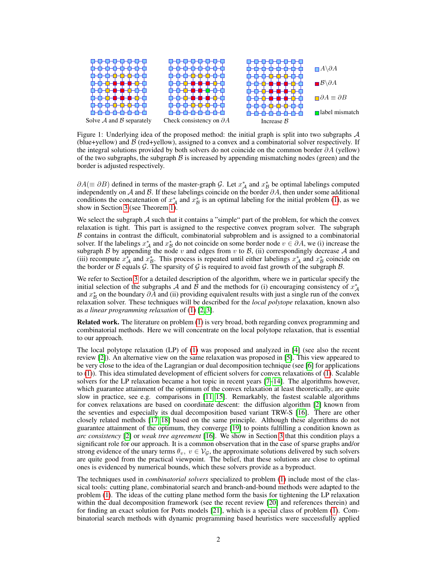

Figure 1: Underlying idea of the proposed method: the initial graph is split into two subgraphs  $A$ (blue+yellow) and  $\beta$  (red+yellow), assigned to a convex and a combinatorial solver respectively. If the integral solutions provided by both solvers do not coincide on the common border  $\partial A$  (yellow) of the two subgraphs, the subgraph  $\beta$  is increased by appending mismatching nodes (green) and the border is adjusted respectively.

 $\partial A (\equiv \partial B)$  defined in terms of the master-graph G. Let  $x_A^*$  and  $x_B^*$  be optimal labelings computed independently on A and B. If these labelings coincide on the border  $\partial A$ , then under some additional conditions the concatenation of  $x_A^*$  and  $x_B^*$  is an optimal labeling for the initial problem (1), as we show in Section 3 (see Theorem 1).

We select the subgraph  $A$  such that it contains a "simple" part of the problem, for which the convex relaxation is tight. This part is assigned to the respective convex program solver. The subgraph  $B$  contains in contrast the difficult, combinatorial subproblem and is assigned to a combinatorial solver. If the labelings  $x_A^*$  and  $x_B^*$  do not coincide on some border node  $v \in \partial A$ , we (i) increase the subgraph  $\beta$  by appending the node v and edges from v to  $\beta$ , (ii) correspondingly decrease  $\mathcal A$  and (iii) recompute  $x_A^*$  and  $x_B^*$ . This process is repeated until either labelings  $x_A^*$  and  $x_B^*$  coincide on the border or B equals G. The sparsity of G is required to avoid fast growth of the subgraph B.

We refer to Section 3 for a detailed description of the algorithm, where we in particular specify the initial selection of the subgraphs A and  $\hat{B}$  and the methods for (i) encouraging consistency of  $x_A^*$ and  $x^*$  on the boundary  $\partial \overline{A}$  and (ii) providing equivalent results with just a single run of the convex relaxation solver. These techniques will be described for the *local polytope* relaxation, known also as *a linear programming relaxation* of (1) [2, 3].

Related work. The literature on problem (1) is very broad, both regarding convex programming and combinatorial methods. Here we will concentrate on the local polytope relaxation, that is essential to our approach.

The local polytope relaxation (LP) of (1) was proposed and analyzed in [4] (see also the recent review [2]). An alternative view on the same relaxation was proposed in [5]. This view appeared to be very close to the idea of the Lagrangian or dual decomposition technique (see [6] for applications to (1)). This idea stimulated development of efficient solvers for convex relaxations of (1). Scalable solvers for the LP relaxation became a hot topic in recent years [7–14]. The algorithms however, which guarantee attainment of the optimum of the convex relaxation at least theoretically, are quite slow in practice, see e.g. comparisons in [11, 15]. Remarkably, the fastest scalable algorithms for convex relaxations are based on coordinate descent: the diffusion algorithm [2] known from the seventies and especially its dual decomposition based variant TRW-S [16]. There are other closely related methods [17, 18] based on the same principle. Although these algorithms do not guarantee attainment of the optimum, they converge [19] to points fulfilling a condition known as *arc consistency* [2] or *weak tree agreement* [16]. We show in Section 3 that this condition plays a significant role for our approach. It is a common observation that in the case of sparse graphs and/or strong evidence of the unary terms  $\theta_v$ ,  $v \in V_{\mathcal{G}}$ , the approximate solutions delivered by such solvers are quite good from the practical viewpoint. The belief, that these solutions are close to optimal ones is evidenced by numerical bounds, which these solvers provide as a byproduct.

The techniques used in *combinatorial solvers* specialized to problem (1) include most of the classical tools: cutting plane, combinatorial search and branch-and-bound methods were adapted to the problem (1). The ideas of the cutting plane method form the basis for tightening the LP relaxation within the dual decomposition framework (see the recent review [20] and references therein) and for finding an exact solution for Potts models [21], which is a special class of problem (1). Combinatorial search methods with dynamic programming based heuristics were successfully applied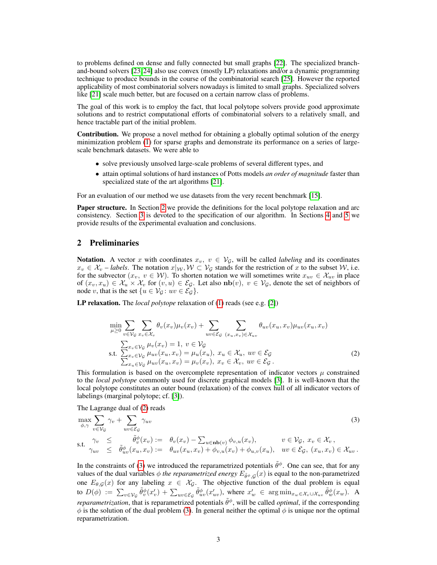to problems defined on dense and fully connected but small graphs [22]. The specialized branchand-bound solvers [23, 24] also use convex (mostly LP) relaxations and/or a dynamic programming technique to produce bounds in the course of the combinatorial search [25]. However the reported applicability of most combinatorial solvers nowadays is limited to small graphs. Specialized solvers like [21] scale much better, but are focused on a certain narrow class of problems.

The goal of this work is to employ the fact, that local polytope solvers provide good approximate solutions and to restrict computational efforts of combinatorial solvers to a relatively small, and hence tractable part of the initial problem.

Contribution. We propose a novel method for obtaining a globally optimal solution of the energy minimization problem (1) for sparse graphs and demonstrate its performance on a series of largescale benchmark datasets. We were able to

- solve previously unsolved large-scale problems of several different types, and
- attain optimal solutions of hard instances of Potts models *an order of magnitude* faster than specialized state of the art algorithms [21].

For an evaluation of our method we use datasets from the very recent benchmark [15].

**Paper structure.** In Section 2 we provide the definitions for the local polytope relaxation and arc consistency. Section 3 is devoted to the specification of our algorithm. In Sections 4 and 5 we provide results of the experimental evaluation and conclusions.

# 2 Preliminaries

Notation. A vector x with coordinates  $x_v$ ,  $v \in V_{\mathcal{G}}$ , will be called *labeling* and its coordinates  $x_v \in \mathcal{X}_v$  – *labels*. The notation  $x|_{\mathcal{W}}, \mathcal{W} \subset \mathcal{V}_{\mathcal{G}}$  stands for the restriction of x to the subset W, i.e. for the subvector  $(x_v, v \in W)$ . To shorten notation we will sometimes write  $x_{uv} \in \mathcal{X}_{uv}$  in place of  $(x_v, x_u) \in \mathcal{X}_u \times \mathcal{X}_v$  for  $(v, u) \in \mathcal{E}_{\mathcal{G}}$ . Let also  $\text{nb}(v)$ ,  $v \in \mathcal{V}_{\mathcal{G}}$ , denote the set of neighbors of node v, that is the set  $\{u \in V_G : uv \in \mathcal{E}_G\}.$ 

LP relaxation. The *local polytope* relaxation of (1) reads (see e.g. [2])

$$
\min_{\mu \geq 0} \sum_{v \in \mathcal{V}_{\mathcal{G}}} \sum_{x_v \in \mathcal{X}_v} \theta_v(x_v) \mu_v(x_v) + \sum_{uv \in \mathcal{E}_{\mathcal{G}}} \sum_{(x_u, x_v) \in \mathcal{X}_{uv}} \theta_{uv}(x_u, x_v) \mu_{uv}(x_u, x_v)
$$
\n
$$
\sum_{x_v \in \mathcal{V}_{\mathcal{G}}} \mu_v(x_v) = 1, \ v \in \mathcal{V}_{\mathcal{G}}
$$
\n
$$
\text{s.t. } \sum_{x_v \in \mathcal{V}_{\mathcal{G}}} \mu_{uv}(x_u, x_v) = \mu_u(x_u), \ x_u \in \mathcal{X}_u, \ uv \in \mathcal{E}_{\mathcal{G}}
$$
\n
$$
\sum_{x_u \in \mathcal{V}_{\mathcal{G}}} \mu_{uv}(x_u, x_v) = \mu_v(x_v), \ x_v \in \mathcal{X}_v, \ uv \in \mathcal{E}_{\mathcal{G}}.
$$
\n
$$
(2)
$$

This formulation is based on the overcomplete representation of indicator vectors  $\mu$  constrained to the *local polytope* commonly used for discrete graphical models [3]. It is well-known that the local polytope constitutes an outer bound (relaxation) of the convex hull of all indicator vectors of labelings (marginal polytope; cf. [3]).

The Lagrange dual of (2) reads

$$
\max_{\phi,\gamma} \sum_{v \in \mathcal{V}_{\mathcal{G}}} \gamma_v + \sum_{uv \in \mathcal{E}_{\mathcal{G}}} \gamma_{uv}
$$
\n
$$
\text{s.t.} \quad \gamma_v \leq \widetilde{\theta}_v^{\phi}(x_v) := \theta_v(x_v) - \sum_{u \in \mathbf{nb}(v)} \phi_{v,u}(x_v), \qquad v \in \mathcal{V}_{\mathcal{G}}, \ x_v \in \mathcal{X}_v,
$$
\n
$$
\gamma_{uv} \leq \widetilde{\theta}_w^{\phi}(x_u, x_v) := \theta_{uv}(x_u, x_v) + \phi_{v,u}(x_v) + \phi_{u,v}(x_u), \quad uv \in \mathcal{E}_{\mathcal{G}}, \ (x_u, x_v) \in \mathcal{X}_{uv}.
$$
\n
$$
(3)
$$

In the constraints of (3) we introduced the reparametrized potentials  $\tilde{\theta}^{\phi}$ . One can see, that for any values of the dual variables  $\phi$  *the reparametrized energy*  $E_{\tilde{\theta}^{\phi},\mathcal{G}}(x)$  is equal to the non-parametrized one  $E_{\theta,G}(x)$  for any labeling  $x \in \mathcal{X}_G$ . The objective function of the dual problem is equal to  $D(\phi) := \sum_{v \in \mathcal{V}_{\mathcal{G}}} \tilde{\theta}_{v}^{\phi}(x'_{v}) + \sum_{uv \in \mathcal{E}_{\mathcal{G}}} \tilde{\theta}_{uv}^{\phi}(x'_{uv}),$  where  $x'_{w} \in \arg\min_{x_{w} \in \mathcal{X}_{v} \cup \mathcal{X}_{uv}} \tilde{\theta}_{w}^{\phi}(x_{w}).$  A *reparametrization*, that is reparametrized potentials  $\tilde{\theta}^{\phi}$ , will be called *optimal*, if the corresponding  $\phi$  is the solution of the dual problem (3). In general neither the optimal  $\phi$  is unique nor the optimal reparametrization.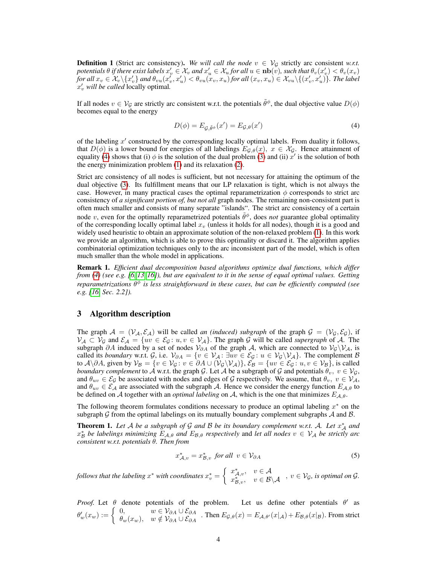**Definition 1** (Strict arc consistency). We will call the node  $v \in V_G$  strictly arc consistent w.r.t. potentials  $\theta$  if there exist labels  $x'_v\in\mathcal{X}_v$  and  $x'_u\in\mathcal{X}_u$  for all  $u\in{\bf nb}(\tilde{v})$ , such that  $\theta_v(x'_v)<\theta_v(x_v)$  $for\ all\ x_v\in\mathcal{X}_v\backslash\{x_v'\}$  and  $\theta_{vu}(x_v',x_u')<\theta_{vu}(x_v,x_u)$  *for all*  $(x_v,x_u)\in\mathcal{X}_{vu}\backslash\{(x_v',x_u')\}$ . The label x 0 <sup>v</sup> *will be called* locally optimal*.*

If all nodes  $v \in V_G$  are strictly arc consistent w.r.t. the potentials  $\tilde{\theta}^{\phi}$ , the dual objective value  $D(\phi)$ becomes equal to the energy

$$
D(\phi) = E_{\mathcal{G}, \tilde{\theta}^{\phi}}(x') = E_{\mathcal{G}, \theta}(x')
$$
\n(4)

of the labeling  $x'$  constructed by the corresponding locally optimal labels. From duality it follows, that  $D(\phi)$  is a lower bound for energies of all labelings  $E_{G,\theta}(x)$ ,  $x \in \mathcal{X}_G$ . Hence attainment of equality (4) shows that (i)  $\phi$  is the solution of the dual problem (3) and (ii)  $\dot{x}'$  is the solution of both the energy minimization problem (1) and its relaxation (2).

Strict arc consistency of all nodes is sufficient, but not necessary for attaining the optimum of the dual objective (3). Its fulfillment means that our LP relaxation is tight, which is not always the case. However, in many practical cases the optimal reparametrization  $\phi$  corresponds to strict arc consistency of *a significant portion of, but not all* graph nodes. The remaining non-consistent part is often much smaller and consists of many separate "islands". The strict arc consistency of a certain node v, even for the optimally reparametrized potentials  $\tilde{\theta}^{\phi}$ , does *not* guarantee global optimality of the corresponding locally optimal label  $x<sub>v</sub>$  (unless it holds for all nodes), though it is a good and widely used heuristic to obtain an approximate solution of the non-relaxed problem (1). In this work we provide an algorithm, which is able to prove this optimality or discard it. The algorithm applies combinatorial optimization techniques only to the arc inconsistent part of the model, which is often much smaller than the whole model in applications.

Remark 1. *Efficient dual decomposition based algorithms optimize dual functions, which differ from (4) (see e.g. [6, 13, 16]), but are equivalent to it in the sense of equal optimal values. Getting reparametrizations*  $\tilde{\theta}^{\phi}$  is less straightforward in these cases, but can be efficiently computed (see *e.g. [16, Sec. 2.2]).*

# 3 Algorithm description

The graph  $\mathcal{A} = (\mathcal{V}_A, \mathcal{E}_A)$  will be called *an (induced) subgraph* of the graph  $\mathcal{G} = (\mathcal{V}_G, \mathcal{E}_G)$ , if  $V_A \subset V_G$  and  $\mathcal{E}_A = \{uv \in \mathcal{E}_G : u, v \in V_A\}$ . The graph G will be called *supergraph* of A. The subgraph ∂A induced by a set of nodes  $V_{\partial A}$  of the graph A, which are connected to  $V_G\setminus V_A$ , is called its *boundary* w.r.t. G, i.e.  $\mathcal{V}_{\partial A} = \{v \in \mathcal{V}_{A} : \exists uv \in \mathcal{E}_{G} : u \in \mathcal{V}_{G} \setminus \mathcal{V}_{A}\}.$  The complement B to  $\mathcal{A}\setminus\partial\mathcal{A}$ , given by  $\mathcal{V}_{\mathcal{B}} = \{v \in \mathcal{V}_{\mathcal{G}}\colon v \in \partial\mathcal{A} \cup (\mathcal{V}_{\mathcal{G}}\setminus\mathcal{V}_{\mathcal{A}})\}, \mathcal{E}_{\mathcal{B}} = \{uv \in \mathcal{E}_{\mathcal{G}}\colon u, v \in \mathcal{V}_{\mathcal{B}}\},\$  is called *boundary complement* to A w.r.t. the graph G. Let A be a subgraph of G and potentials  $\theta_v$ ,  $v \in V_G$ , and  $\theta_{uv} \in \mathcal{E}_{\mathcal{G}}$  be associated with nodes and edges of  $\mathcal{G}$  respectively. We assume, that  $\theta_v, v \in \mathcal{V}_{\mathcal{A}}$ , and  $\theta_{uv} \in \mathcal{E}_{\mathcal{A}}$  are associated with the subgraph A. Hence we consider the energy function  $E_{\mathcal{A},\theta}$  to be defined on A together with an *optimal labeling* on A, which is the one that minimizes  $E_{A,\theta}$ .

The following theorem formulates conditions necessary to produce an optimal labeling  $x^*$  on the subgraph  $G$  from the optimal labelings on its mutually boundary complement subgraphs  $A$  and  $B$ .

**Theorem 1.** Let A be a subgraph of G and B be its boundary complement w.r.t. A. Let  $x_A^*$  and  $x^*_B$  *be labelings minimizing*  $E_{A,\theta}$  *and*  $E_{B,\theta}$  *respectively* and *let all nodes*  $v \in V_A$  *be strictly arc consistent w.r.t. potentials* θ*. Then from*

$$
x_{\mathcal{A},v}^* = x_{\mathcal{B},v}^* \text{ for all } v \in \mathcal{V}_{\partial A}
$$
 (5)

 $f$ ollows that the labeling  $x^*$  with coordinates  $x^*_v = \left\{ \begin{array}{ll} x^*_{\mathcal{A},v}, & v \in \mathcal{A}, \\ r^*_{\mathcal{A},v} & v \in \mathcal{B}, \end{array} \right.$  $x_{\mathcal{A},v}^{w,\mathcal{A},v}$ ,  $v \in \mathcal{B} \backslash \mathcal{A}$ ,  $v \in \mathcal{V}_{\mathcal{G}}$ , is optimal on  $\mathcal{G}$ .

*Proof.* Let  $\theta$  denote potentials of the problem. Let us define other potentials  $\theta'$  as  $\theta'_w(x_w) := \begin{cases} 0, & w \in \mathcal{V}_{\partial A} \cup \mathcal{E}_{\partial A} \\ \theta_-(x_w) & w \notin \mathcal{V}_{\partial A} \cup \mathcal{E}_{\partial A} \end{cases}$  $\theta_w(x_w)$ ,  $w \notin \mathcal{V}_{\partial A} \cup \mathcal{E}_{\partial A}$ . Then  $E_{\mathcal{G},\theta}(x) = E_{\mathcal{A},\theta'}(x|\mathcal{A}) + E_{\mathcal{B},\theta}(x|\mathcal{B})$ . From strict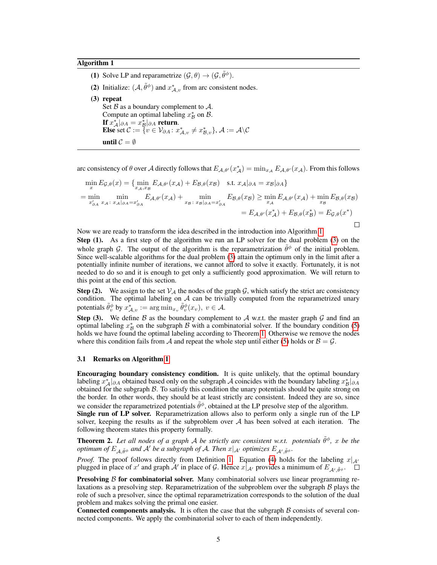#### Algorithm 1

(1) Solve LP and reparametrize  $(\mathcal{G}, \theta) \rightarrow (\mathcal{G}, \tilde{\theta}^{\phi})$ . (2) Initialize:  $(\mathcal{A}, \tilde{\theta}^{\phi})$  and  $x^*_{\mathcal{A},v}$  from arc consistent nodes. (3) repeat Set  $\beta$  as a boundary complement to  $\mathcal{A}$ . Compute an optimal labeling  $x^*_{\mathcal{B}}$  on  $\mathcal{B}$ . If  $x^*_{\mathcal{A}}|_{\partial A} = x^*_{\mathcal{B}}|_{\partial A}$  return. Else set  $\mathcal{C} := \{ v \in \mathcal{V}_{\partial A} \colon x_{\mathcal{A},v}^* \neq x_{\mathcal{B},v}^* \}, \mathcal{A} := \mathcal{A} \backslash \mathcal{C}$ until  $\mathcal{C} = \emptyset$ 

arc consistency of  $\theta$  over A directly follows that  $E_{A,\theta'}(x_A^*) = \min_{x_A} E_{A,\theta'}(x_A)$ . From this follows

$$
\min_{x} E_{\mathcal{G},\theta}(x) = \{ \min_{x_A, x_B} E_{\mathcal{A},\theta'}(x_A) + E_{\mathcal{B},\theta}(x_B) \quad \text{s.t. } x_A|_{\partial A} = x_B|_{\partial A} \}
$$
\n
$$
= \min_{x'_{\partial A}} \min_{x_A \colon x_A|_{\partial A} = x'_{\partial A}} E_{\mathcal{A},\theta'}(x_A) + \min_{x_B \colon x_B|_{\partial A} = x'_{\partial A}} E_{\mathcal{B},\theta}(x_B) \ge \min_{x_A} E_{\mathcal{A},\theta'}(x_A) + \min_{x_B} E_{\mathcal{B},\theta}(x_B)
$$
\n
$$
= E_{\mathcal{A},\theta'}(x^*_{\mathcal{A}}) + E_{\mathcal{B},\theta}(x^*_{\mathcal{B}}) = E_{\mathcal{G},\theta}(x^*)
$$

Now we are ready to transform the idea described in the introduction into Algorithm 1.

Step (1). As a first step of the algorithm we run an LP solver for the dual problem (3) on the whole graph G. The output of the algorithm is the reparametrization  $\tilde{\theta}^{\phi}$  of the initial problem. Since well-scalable algorithms for the dual problem (3) attain the optimum only in the limit after a potentially infinite number of iterations, we cannot afford to solve it exactly. Fortunately, it is not needed to do so and it is enough to get only a sufficiently good approximation. We will return to this point at the end of this section.

**Step (2).** We assign to the set  $V_A$  the nodes of the graph G, which satisfy the strict arc consistency condition. The optimal labeling on  $A$  can be trivially computed from the reparametrized unary potentials  $\tilde{\theta}_{v}^{\phi}$  by  $x_{\mathcal{A},v}^{*} := \argmin_{x_{v}} \tilde{\theta}_{v}^{\phi}(x_{v}), v \in \mathcal{A}$ .

Step (3). We define  $\beta$  as the boundary complement to  $\mathcal A$  w.r.t. the master graph  $\mathcal G$  and find an optimal labeling  $x^*_{\mathcal{B}}$  on the subgraph  $\mathcal B$  with a combinatorial solver. If the boundary condition (5) holds we have found the optimal labeling according to Theorem 1. Otherwise we remove the nodes where this condition fails from A and repeat the whole step until either (5) holds or  $B = G$ .

#### 3.1 Remarks on Algorithm 1

Encouraging boundary consistency condition. It is quite unlikely, that the optimal boundary labeling  $x_A^*|_{\partial A}$  obtained based only on the subgraph A coincides with the boundary labeling  $x_B^*|_{\partial A}$ obtained for the subgraph  $\beta$ . To satisfy this condition the unary potentials should be quite strong on the border. In other words, they should be at least strictly arc consistent. Indeed they are so, since we consider the reparametrized potentials  $\tilde{\theta}^{\phi}$ , obtained at the LP presolve step of the algorithm.

Single run of LP solver. Reparametrization allows also to perform only a single run of the LP solver, keeping the results as if the subproblem over  $A$  has been solved at each iteration. The following theorem states this property formally.

**Theorem 2.** Let all nodes of a graph A be strictly arc consistent w.r.t. potentials  $\tilde{\theta}^{\phi}$ , x be the *optimum of*  $E_{\mathcal{A}, \tilde{\theta}^{\phi}}$  *and*  $\mathcal{A}'$  *be a subgraph of*  $\mathcal{A}$ *. Then*  $x|_{\mathcal{A}'}$  *optimizes*  $E_{\mathcal{A}', \tilde{\theta}^{\phi}}$ *.* 

*Proof.* The proof follows directly from Definition 1. Equation (4) holds for the labeling  $x|_{\mathcal{A}}$ plugged in place of x' and graph  $A'$  in place of G. Hence  $x|_{A'}$  provides a minimum of  $E_{A',\tilde{\theta}\phi}$ .

**Presolving**  $\beta$  **for combinatorial solver.** Many combinatorial solvers use linear programming relaxations as a presolving step. Reparametrization of the subproblem over the subgraph  $\beta$  plays the role of such a presolver, since the optimal reparametrization corresponds to the solution of the dual problem and makes solving the primal one easier.

**Connected components analysis.** It is often the case that the subgraph  $\beta$  consists of several connected components. We apply the combinatorial solver to each of them independently.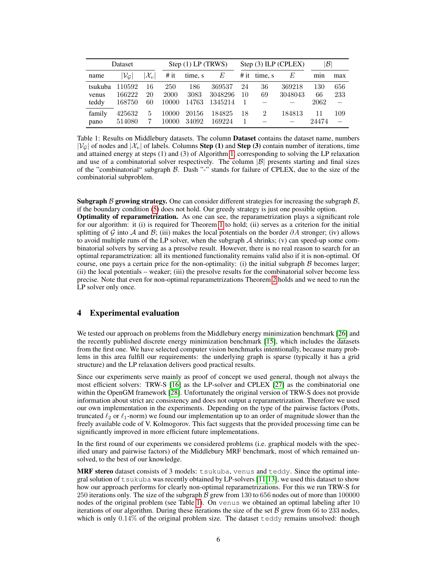| Dataset                   |                            |                 | Step $(1)$ LP $(TRWS)$ |                      |                              |          | Step $(3)$ ILP (CPLEX) | $ \mathcal{B} $   |                   |            |
|---------------------------|----------------------------|-----------------|------------------------|----------------------|------------------------------|----------|------------------------|-------------------|-------------------|------------|
| name                      | $\mathcal{V}_\mathcal{G}$  | $\mathcal{X}_v$ | # it                   | time, s              | E                            |          | # it time, s           | E                 | min               | max        |
| tsukuba<br>venus<br>teddy | 110592<br>166222<br>168750 | 16<br>20<br>60  | 250<br>2000<br>10000   | 186<br>3083<br>14763 | 369537<br>3048296<br>1345214 | 24<br>10 | 36<br>69               | 369218<br>3048043 | 130<br>66<br>2062 | 656<br>233 |
| family<br>pano            | 425632<br>514080           | 5               | 10000<br>10000         | 20156<br>34092       | 184825<br>169224             | 18       | 2                      | 184813            | 11<br>24474       | 109        |

Table 1: Results on Middlebury datasets. The column **Dataset** contains the dataset name, numbers  $|\mathcal{V}_G|$  of nodes and  $|\mathcal{X}_v|$  of labels. Columns **Step (1)** and **Step (3)** contain number of iterations, time and attained energy at steps (1) and (3) of Algorithm 1, corresponding to solving the LP relaxation and use of a combinatorial solver respectively. The column  $|\mathcal{B}|$  presents starting and final sizes of the "combinatorial" subgraph B. Dash "-" stands for failure of CPLEX, due to the size of the combinatorial subproblem.

Subgraph  $\beta$  growing strategy. One can consider different strategies for increasing the subgraph  $\beta$ , if the boundary condition (5) does not hold. Our greedy strategy is just one possible option.

Optimality of reparametrization. As one can see, the reparametrization plays a significant role for our algorithm: it (i) is required for Theorem 1 to hold; (ii) serves as a criterion for the initial splitting of G into A and B; (iii) makes the local potentials on the border  $\partial A$  stronger; (iv) allows to avoid multiple runs of the LP solver, when the subgraph  $A$  shrinks; (v) can speed-up some combinatorial solvers by serving as a presolve result. However, there is no real reason to search for an optimal reparametrization: all its mentioned functionality remains valid also if it is non-optimal. Of course, one pays a certain price for the non-optimality: (i) the initial subgraph  $\beta$  becomes larger; (ii) the local potentials – weaker; (iii) the presolve results for the combinatorial solver become less precise. Note that even for non-optimal reparametrizations Theorem 2 holds and we need to run the LP solver only once.

## 4 Experimental evaluation

We tested our approach on problems from the Middlebury energy minimization benchmark [26] and the recently published discrete energy minimization benchmark [15], which includes the datasets from the first one. We have selected computer vision benchmarks intentionally, because many problems in this area fulfill our requirements: the underlying graph is sparse (typically it has a grid structure) and the LP relaxation delivers good practical results.

Since our experiments serve mainly as proof of concept we used general, though not always the most efficient solvers: TRW-S [16] as the LP-solver and CPLEX [27] as the combinatorial one within the OpenGM framework [28]. Unfortunately the original version of TRW-S does not provide information about strict arc consistency and does not output a reparametrization. Therefore we used our own implementation in the experiments. Depending on the type of the pairwise factors (Potts, truncated  $\ell_2$  or  $\ell_1$ -norm) we found our implementation up to an order of magnitude slower than the freely available code of V. Kolmogorov. This fact suggests that the provided processing time can be significantly improved in more efficient future implementations.

In the first round of our experiments we considered problems (i.e. graphical models with the specified unary and pairwise factors) of the Middlebury MRF benchmark, most of which remained unsolved, to the best of our knowledge.

MRF stereo dataset consists of 3 models: tsukuba, venus and teddy. Since the optimal integral solution of  $t$  sukuba was recently obtained by LP-solvers [11,13], we used this dataset to show how our approach performs for clearly non-optimal reparametrizations. For this we run TRW-S for 250 iterations only. The size of the subgraph  $\hat{B}$  grew from 130 to 656 nodes out of more than 100000 nodes of the original problem (see Table 1). On venus we obtained an optimal labeling after 10 iterations of our algorithm. During these iterations the size of the set  $\beta$  grew from 66 to 233 nodes, which is only 0.14% of the original problem size. The dataset teddy remains unsolved: though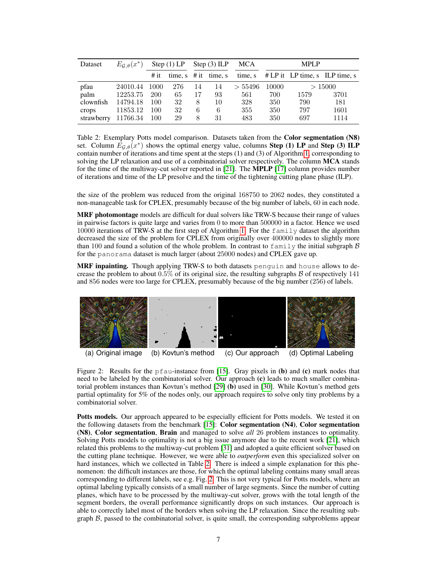| Dataset    | $E_{\mathcal{G},\theta}(x^*)$ | Step $(1)$ LP |     | Step $(3)$ ILP |                           | <b>MCA</b> | <b>MPLP</b> |        |                                  |
|------------|-------------------------------|---------------|-----|----------------|---------------------------|------------|-------------|--------|----------------------------------|
|            |                               | # it          |     |                | time, $s \# it \time$ , s | time, s    |             |        | $# LP$ it LP time, s LLP time, s |
| pfau       | 24010.44                      | 1000          | 276 | 14             | 14                        | > 55496    | 10000       | >15000 |                                  |
| palm       | 12253.75                      | <b>200</b>    | 65  | 17             | 93                        | 561        | 700         | 1579   | 3701                             |
| clownfish  | 14794.18                      | 100           | 32  | 8              | 10                        | 328        | 350         | 790    | 181                              |
| crops      | 11853.12                      | 100           | 32  | 6              | 6                         | 355        | 350         | 797    | 1601                             |
| strawberry | 11766.34                      | 100           | 29  | 8              | 31                        | 483        | 350         | 697    | 1114                             |

Table 2: Exemplary Potts model comparison. Datasets taken from the Color segmentation (N8) set. Column  $\hat{E}_{\mathcal{G},\theta}(x^*)$  shows the optimal energy value, columns **Step (1)** LP and **Step (3)** ILP contain number of iterations and time spent at the steps (1) and (3) of Algorithm 1, corresponding to solving the LP relaxation and use of a combinatorial solver respectively. The column MCA stands for the time of the multiway-cut solver reported in [21]. The MPLP [17] column provides number of iterations and time of the LP presolve and the time of the tightening cutting plane phase (ILP).

the size of the problem was reduced from the original 168750 to 2062 nodes, they constituted a non-manageable task for CPLEX, presumably because of the big number of labels, 60 in each node.

MRF photomontage models are difficult for dual solvers like TRW-S because their range of values in pairwise factors is quite large and varies from 0 to more than 500000 in a factor. Hence we used 10000 iterations of TRW-S at the first step of Algorithm 1. For the family dataset the algorithm decreased the size of the problem for CPLEX from originally over 400000 nodes to slightly more than 100 and found a solution of the whole problem. In contrast to  $f$  and  $\lambda y$  the initial subgraph  $\beta$ for the panorama dataset is much larger (about 25000 nodes) and CPLEX gave up.

MRF inpainting. Though applying TRW-S to both datasets penguin and house allows to decrease the problem to about  $0.5\%$  of its original size, the resulting subgraphs  $\beta$  of respectively 141 and 856 nodes were too large for CPLEX, presumably because of the big number (256) of labels.



(a) Original image (b) Kovtun's method (c) Our approach (d) Optimal Labeling

Figure 2: Results for the pfau-instance from [15]. Gray pixels in (b) and (c) mark nodes that need to be labeled by the combinatorial solver. Our approach (c) leads to much smaller combinatorial problem instances than Kovtun's method [29] (b) used in [30]. While Kovtun's method gets partial optimality for 5% of the nodes only, our approach requires to solve only tiny problems by a combinatorial solver.

Potts models. Our approach appeared to be especially efficient for Potts models. We tested it on the following datasets from the benchmark [15]: Color segmentation (N4), Color segmentation (N8), Color segmentation, Brain and managed to solve *all* 26 problem instances to optimality. Solving Potts models to optimality is not a big issue anymore due to the recent work [21], which related this problems to the multiway-cut problem [31] and adopted a quite efficient solver based on the cutting plane technique. However, we were able to *outperform* even this specialized solver on hard instances, which we collected in Table 2. There is indeed a simple explanation for this phenomenon: the difficult instances are those, for which the optimal labeling contains many small areas corresponding to different labels, see e.g. Fig. 2. This is not very typical for Potts models, where an optimal labeling typically consists of a small number of large segments. Since the number of cutting planes, which have to be processed by the multiway-cut solver, grows with the total length of the segment borders, the overall performance significantly drops on such instances. Our approach is able to correctly label most of the borders when solving the LP relaxation. Since the resulting subgraph B, passed to the combinatorial solver, is quite small, the corresponding subproblems appear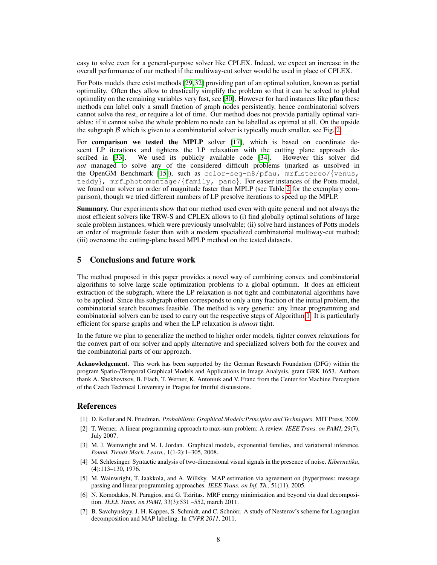easy to solve even for a general-purpose solver like CPLEX. Indeed, we expect an increase in the overall performance of our method if the multiway-cut solver would be used in place of CPLEX.

For Potts models there exist methods [29,32] providing part of an optimal solution, known as partial optimality. Often they allow to drastically simplify the problem so that it can be solved to global optimality on the remaining variables very fast, see [30]. However for hard instances like pfau these methods can label only a small fraction of graph nodes persistently, hence combinatorial solvers cannot solve the rest, or require a lot of time. Our method does not provide partially optimal variables: if it cannot solve the whole problem no node can be labelled as optimal at all. On the upside the subgraph  $\beta$  which is given to a combinatorial solver is typically much smaller, see Fig. 2.

For comparison we tested the MPLP solver [17], which is based on coordinate descent LP iterations and tightens the LP relaxation with the cutting plane approach described in [33]. We used its publicly available code [34]. However this solver did *not* managed to solve any of the considered difficult problems (marked as unsolved in the OpenGM Benchmark [15]), such as color-seg-n8/pfau, mrf\_stereo/{venus, teddy},  $mrf-photonontage / \{family, pano\}$ . For easier instances of the Potts model, we found our solver an order of magnitude faster than MPLP (see Table 2 for the exemplary comparison), though we tried different numbers of LP presolve iterations to speed up the MPLP.

Summary. Our experiments show that our method used even with quite general and not always the most efficient solvers like TRW-S and CPLEX allows to (i) find globally optimal solutions of large scale problem instances, which were previously unsolvable; (ii) solve hard instances of Potts models an order of magnitude faster than with a modern specialized combinatorial multiway-cut method; (iii) overcome the cutting-plane based MPLP method on the tested datasets.

## 5 Conclusions and future work

The method proposed in this paper provides a novel way of combining convex and combinatorial algorithms to solve large scale optimization problems to a global optimum. It does an efficient extraction of the subgraph, where the LP relaxation is not tight and combinatorial algorithms have to be applied. Since this subgraph often corresponds to only a tiny fraction of the initial problem, the combinatorial search becomes feasible. The method is very generic: any linear programming and combinatorial solvers can be used to carry out the respective steps of Algorithm 1. It is particularly efficient for sparse graphs and when the LP relaxation is *almost* tight.

In the future we plan to generalize the method to higher order models, tighter convex relaxations for the convex part of our solver and apply alternative and specialized solvers both for the convex and the combinatorial parts of our approach.

Acknowledgement. This work has been supported by the German Research Foundation (DFG) within the program Spatio-/Temporal Graphical Models and Applications in Image Analysis, grant GRK 1653. Authors thank A. Shekhovtsov, B. Flach, T. Werner, K. Antoniuk and V. Franc from the Center for Machine Perception of the Czech Technical University in Prague for fruitful discussions.

#### References

- [1] D. Koller and N. Friedman. *Probabilistic Graphical Models:Principles and Techniques*. MIT Press, 2009.
- [2] T. Werner. A linear programming approach to max-sum problem: A review. *IEEE Trans. on PAMI*, 29(7), July 2007.
- [3] M. J. Wainwright and M. I. Jordan. Graphical models, exponential families, and variational inference. *Found. Trends Mach. Learn.*, 1(1-2):1–305, 2008.
- [4] M. Schlesinger. Syntactic analysis of two-dimensional visual signals in the presence of noise. *Kibernetika*, (4):113–130, 1976.
- [5] M. Wainwright, T. Jaakkola, and A. Willsky. MAP estimation via agreement on (hyper)trees: message passing and linear programming approaches. *IEEE Trans. on Inf. Th.*, 51(11), 2005.
- [6] N. Komodakis, N. Paragios, and G. Tziritas. MRF energy minimization and beyond via dual decomposition. *IEEE Trans. on PAMI*, 33(3):531 –552, march 2011.
- [7] B. Savchynskyy, J. H. Kappes, S. Schmidt, and C. Schnörr. A study of Nesterov's scheme for Lagrangian decomposition and MAP labeling. In *CVPR 2011*, 2011.